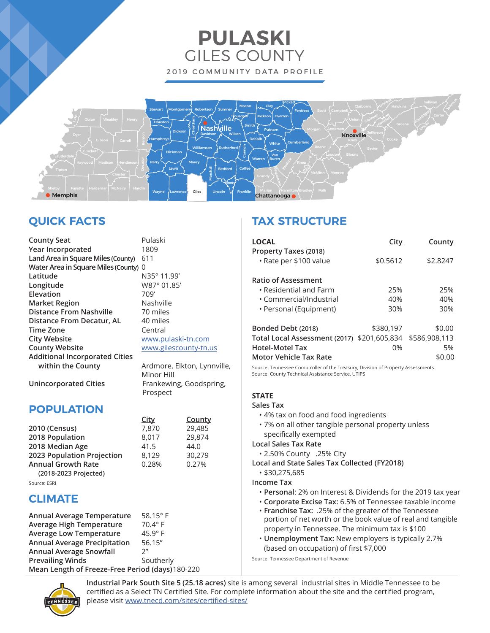# **PULASKI** GILES COUNTY 2019 COMMUNITY DATA PROFILE



# **QUICK FACTS**

| <b>County Seat</b>                    | Pulaski  |
|---------------------------------------|----------|
| Year Incorporated                     | 1809     |
| Land Area in Square Miles (County)    | 611      |
| Water Area in Square Miles (County)   | $\Omega$ |
| Latitude                              | N35°11   |
| Longitude                             | W87°0    |
| Elevation                             | 709'     |
| <b>Market Region</b>                  | Nashvil  |
| <b>Distance From Nashville</b>        | 70 mile  |
| Distance From Decatur, AL             | 40 mile  |
| <b>Time Zone</b>                      | Central  |
| <b>City Website</b>                   | www.p    |
| <b>County Website</b>                 | www.gi   |
| <b>Additional Incorporated Cities</b> |          |
| within the County                     | Ardmo    |
|                                       | Minor I  |

**Latitude** N35° 11.99' **Longitude** W87° 01.85' lashville 0 miles 0 miles **Tentral** ww.pulaski-tn.com ww.gilescounty-tn.us

rdmore, Elkton, Lynnville, Minor Hill **Unincorporated Cities** Frankewing, Goodspring, Prospect

# **POPULATION**

|                            | City  | County |
|----------------------------|-------|--------|
| 2010 (Census)              | 7,870 | 29,485 |
| 2018 Population            | 8,017 | 29,874 |
| 2018 Median Age            | 41.5  | 44.0   |
| 2023 Population Projection | 8.129 | 30.279 |
| <b>Annual Growth Rate</b>  | 0.28% | 0.27%  |
| (2018-2023 Projected)      |       |        |
|                            |       |        |

Source: ESRI

# **CLIMATE**

| Annual Average Temperature                       | 58.15 $^{\circ}$ F |  |
|--------------------------------------------------|--------------------|--|
| Average High Temperature                         | 70.4° F            |  |
| <b>Average Low Temperature</b>                   | $45.9^\circ$ F     |  |
| <b>Annual Average Precipitation</b>              | 56.15"             |  |
| <b>Annual Average Snowfall</b>                   | $2^{\prime\prime}$ |  |
| <b>Prevailing Winds</b>                          | Southerly          |  |
| Mean Length of Freeze-Free Period (days) 180-220 |                    |  |

# **TAX STRUCTURE**

| <b>LOCAL</b>                                                                    | City      | County   |
|---------------------------------------------------------------------------------|-----------|----------|
| Property Taxes (2018)<br>• Rate per \$100 value                                 | \$0.5612  | \$2.8247 |
| <b>Ratio of Assessment</b>                                                      |           |          |
| • Residential and Farm                                                          | 25%       | 25%      |
| • Commercial/Industrial                                                         | 40%       | 40%      |
| • Personal (Equipment)                                                          | 30%       | 30%      |
| Bonded Debt (2018)                                                              | \$380,197 | \$0.00   |
| Total Local Assessment (2017) \$201,605,834 \$586,908,113                       |           |          |
| <b>Hotel-Motel Tax</b>                                                          | 0%        | 5%       |
| Motor Vehicle Tax Rate                                                          |           | \$0.00   |
| Course: Tonnessee Comptroller of the Treasury, Division of Property Assessments |           |          |

Source: Tennessee Comptroller of the Treasury, Division of Property Assessments Source: County Technical Assistance Service, UTIPS

# **STATE**

### **Sales Tax**

- 4% tax on food and food ingredients
- 7% on all other tangible personal property unless specifically exempted

### **Local Sales Tax Rate**

- 2.50% County .25% City
- **Local and State Sales Tax Collected (FY2018)**

### • \$30,275,685

**Income Tax**

- **Personal**: 2% on Interest & Dividends for the 2019 tax year
- **Corporate Excise Tax:** 6.5% of Tennessee taxable income
- **Franchise Tax:** .25% of the greater of the Tennessee portion of net worth or the book value of real and tangible property in Tennessee. The minimum tax is \$100
- **Unemployment Tax:** New employers is typically 2.7% (based on occupation) of first \$7,000

Source: Tennessee Department of Revenue



**Industrial Park South Site 5 (25.18 acres)** site is among several industrial sites in Middle Tennessee to be certified as a Select TN Certified Site. For complete information about the site and the certified program, please visit www.tnecd.com/sites/certified-sites/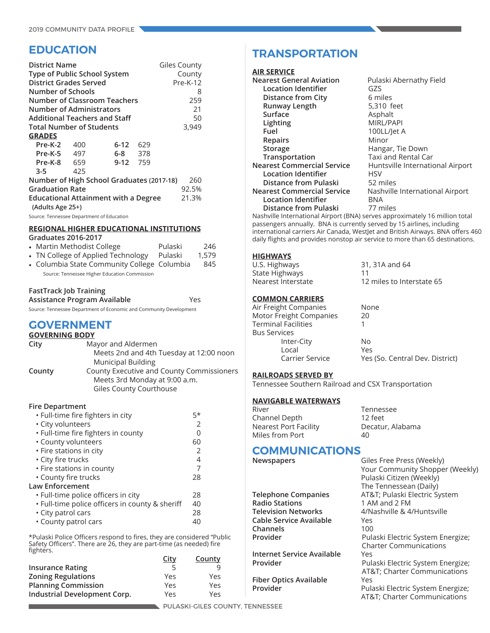# **EDUCATION**

| <b>District Name</b><br>Type of Public School System<br><b>District Grades Served</b><br><b>Number of Schools</b><br>Number of Administrators<br><b>Additional Teachers and Staff</b><br><b>Total Number of Students</b><br><b>GRADES</b> |     | <b>Number of Classroom Teachers</b>                                                      |     | <b>Giles County</b><br>County<br>$Pre-K-12$<br>8<br>259<br>21<br>50<br>3,949 |
|-------------------------------------------------------------------------------------------------------------------------------------------------------------------------------------------------------------------------------------------|-----|------------------------------------------------------------------------------------------|-----|------------------------------------------------------------------------------|
| <b>Pre-K-2</b> 400                                                                                                                                                                                                                        |     | $6-12$                                                                                   | 629 |                                                                              |
| Pre-K-5 497                                                                                                                                                                                                                               |     | 6-8 378                                                                                  |     |                                                                              |
| Pre-K-8 659                                                                                                                                                                                                                               |     | 9-12 759                                                                                 |     |                                                                              |
| $3 - 5$                                                                                                                                                                                                                                   | 425 |                                                                                          |     |                                                                              |
| <b>Graduation Rate</b><br>(Adults Age 25+)<br>Source: Tennessee Department of Education                                                                                                                                                   |     | Number of High School Graduates (2017-18)<br><b>Educational Attainment with a Degree</b> |     | 260<br>92.5%<br>21.3%                                                        |

#### **REGIONAL HIGHER EDUCATIONAL INSTITUTIONS Graduates 2016-2017**

| <u> 9. 99999999 = 9. 19. 29. 17</u>         |         |       |
|---------------------------------------------|---------|-------|
| • Martin Methodist College                  | Pulaski | 246   |
| • TN College of Applied Technology          | Pulaski | 1.579 |
| • Columbia State Community College Columbia |         | 845   |

Source: Tennessee Higher Education Commission

## **FastTrack Job Training**

| Assistance Program Available                                       | Yes |
|--------------------------------------------------------------------|-----|
| Source: Tennessee Department of Economic and Community Development |     |

# **GOVERNMENT**

| <b>GOVERNING BODY</b> |                                           |
|-----------------------|-------------------------------------------|
| City                  | Mayor and Aldermen                        |
|                       | Meets 2nd and 4th Tuesday at 12:00 noon   |
|                       | <b>Municipal Building</b>                 |
| County                | County Executive and County Commissioners |
|                       | Meets 3rd Monday at 9:00 a.m.             |
|                       | Giles County Courthouse                   |
|                       |                                           |

### **Fire Department**

| · Full-time fire fighters in city               | 5*            |  |
|-------------------------------------------------|---------------|--|
| · City volunteers                               | $\mathcal{P}$ |  |
| · Full-time fire fighters in county             |               |  |
| • County volunteers                             | 60            |  |
| · Fire stations in city                         | $\mathcal{P}$ |  |
| • City fire trucks                              | 4             |  |
| • Fire stations in county                       | 7             |  |
| • County fire trucks                            | 28            |  |
| <b>Law Enforcement</b>                          |               |  |
| · Full-time police officers in city             | 28            |  |
| . Full-time police officers in county & sheriff | 40            |  |
| • City patrol cars                              | 28            |  |
| • County patrol cars                            | 40            |  |
|                                                 |               |  |

\*Pulaski Police Officers respond to fires, they are considered "Public Safety Officers". There are 26, they are part-time (as needed) fire fighters.

|                              | <u>City</u> | County |
|------------------------------|-------------|--------|
| <b>Insurance Rating</b>      |             |        |
| <b>Zoning Regulations</b>    | Yes         | Yes    |
| <b>Planning Commission</b>   | Yes         | Yes    |
| Industrial Development Corp. | Yes         | Yes    |

# **TRANSPORTATION**

| Nearest General Aviation                                                    | Pulaski Abernathy Field          |
|-----------------------------------------------------------------------------|----------------------------------|
| <b>Location Identifier</b>                                                  | GZS                              |
| <b>Distance from City</b>                                                   | 6 miles                          |
| Runway Length                                                               | 5,310 feet                       |
| Surface                                                                     | Asphalt                          |
| Lighting                                                                    | <b>MIRL/PAPI</b>                 |
| Fuel                                                                        | 100LL/Jet A                      |
| Repairs                                                                     | Minor                            |
| Storage                                                                     | Hangar, Tie Down                 |
| Transportation                                                              | Taxi and Rental Car              |
| <b>Nearest Commercial Service</b>                                           | Huntsville International Airport |
| <b>Location Identifier</b>                                                  | HSV                              |
| Distance from Pulaski                                                       | 52 miles                         |
| Nearest Commercial Service                                                  | Nashville International Airport  |
| <b>Location Identifier</b>                                                  | BNA                              |
| Distance from Pulaski                                                       | 77 miles                         |
| Nashville International Airport (BNA) serves approximately 16 million total |                                  |
|                                                                             |                                  |

passengers annually. BNA is currently served by 15 airlines, including international carriers Air Canada, WestJet and British Airways. BNA offers 460 daily flights and provides nonstop air service to more than 65 destinations.

### **HIGHWAYS**

| U.S. Highways      | 31, 31A and 64            |
|--------------------|---------------------------|
| State Highways     | 11                        |
| Nearest Interstate | 12 miles to Interstate 65 |

### **COMMON CARRIERS**

| Air Freight Companies   | None                            |
|-------------------------|---------------------------------|
| Motor Freight Companies | 20                              |
| Terminal Facilities     |                                 |
| <b>Bus Services</b>     |                                 |
| Inter-City              | No                              |
| Local                   | Yes                             |
| <b>Carrier Service</b>  | Yes (So. Central Dev. District) |
|                         |                                 |

### **RAILROADS SERVED BY**

Tennessee Southern Railroad and CSX Transportation

### **NAVIGABLE WATERWAYS**

| Tennessee        |
|------------------|
| 12 feet          |
| Decatur, Alabama |
| 40               |
|                  |

# **COMMUNICATIONS**<br> **Newspapers**

|                            | i i le           |
|----------------------------|------------------|
| Telephone Companies        | AT&              |
| <b>Radio Stations</b>      | 1 AN             |
| <b>Television Networks</b> | 4/N <sub>i</sub> |
| Cable Service Available    | Yes.             |
| Channels                   | 100              |
| Provider                   | Pula             |
|                            |                  |

**Internet Service Available Provider** Pul

**Fiber Optics Available** Yes

**Giles Free Press (Weekly)**  Your Community Shopper (Weekly) Pulaski Citizen (Weekly) The Tennessean (Daily) **Telephone Companies** AT&T; Pulaski Electric System 1 AM and 2 FM **Television Networks** 4/Nashville & 4/Huntsville Pulaski Electric System Energize; Charter Communications Pulaski Electric System Energize; AT&T; Charter Communications **Provider** Pulaski Electric System Energize; AT&T; Charter Communications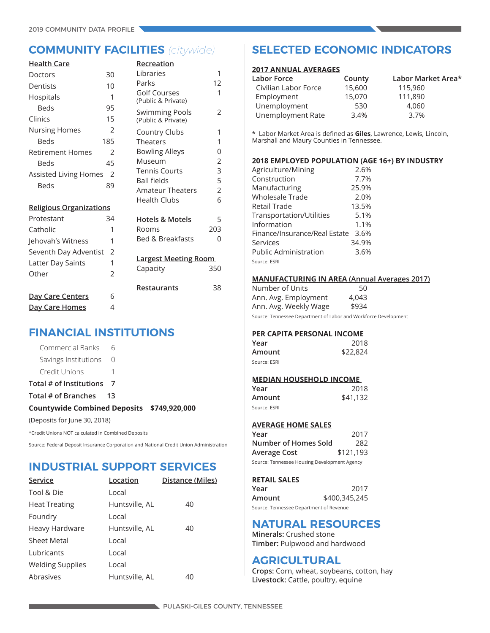| <b>Health Care</b>             |                | Recreation                         |     |
|--------------------------------|----------------|------------------------------------|-----|
| Doctors                        | 30             | Libraries                          | 1   |
| Dentists                       | 10             | Parks                              | 12  |
| Hospitals                      | 1              | Golf Courses<br>(Public & Private) | 1   |
| <b>Beds</b>                    | 95             | <b>Swimming Pools</b>              | 2   |
| Clinics                        | 15             | (Public & Private)                 |     |
| <b>Nursing Homes</b>           | $\overline{2}$ | Country Clubs                      | 1   |
| Beds                           | 185            | <b>Theaters</b>                    | 1   |
| <b>Retirement Homes</b>        | $\mathfrak{D}$ | <b>Bowling Alleys</b>              | 0   |
| Beds                           | 45             | Museum                             | 2   |
| Assisted Living Homes          | $\mathcal{P}$  | <b>Tennis Courts</b>               | 3   |
| Beds                           | 89             | <b>Ball fields</b>                 | 5   |
|                                |                | <b>Amateur Theaters</b>            | 2   |
| <b>Religious Organizations</b> |                | Health Clubs                       | 6   |
| Protestant                     | 34             | <b>Hotels &amp; Motels</b>         | 5   |
| Catholic                       | 1              | Rooms                              | 203 |
| Jehovah's Witness              | 1              | <b>Bed &amp; Breakfasts</b>        | 0   |
| Seventh Day Adventist          | 2              |                                    |     |
| Latter Day Saints              | 1              | <b>Largest Meeting Room</b>        |     |
| Other                          | $\mathfrak{D}$ | Capacity                           | 350 |
|                                |                | Restaurants                        | 38  |
| <u>Day Care Centers</u>        | 6              |                                    |     |
| Day Care Homes                 | 4              |                                    |     |

# **FINANCIAL INSTITUTIONS**

| (Deposits for June 30, 2018)               |                  |  |
|--------------------------------------------|------------------|--|
| Countywide Combined Deposits \$749,920,000 |                  |  |
| Total # of Branches                        | 13               |  |
| Total # of Institutions 7                  |                  |  |
| Credit Unions                              |                  |  |
| Savings Institutions                       | $\left( \right)$ |  |
| Commercial Banks 6                         |                  |  |

\*Credit Unions NOT calculated in Combined Deposits

Source: Federal Deposit Insurance Corporation and National Credit Union Administration

# **INDUSTRIAL SUPPORT SERVICES**

| Service                 | Location       | Distance (Miles) |
|-------------------------|----------------|------------------|
| Tool & Die              | Local          |                  |
| <b>Heat Treating</b>    | Huntsville, AL | 40               |
| Foundry                 | Local          |                  |
| Heavy Hardware          | Huntsville, AL | 40               |
| <b>Sheet Metal</b>      | Local          |                  |
| Lubricants              | Local          |                  |
| <b>Welding Supplies</b> | Local          |                  |
| Abrasives               | Huntsville, AL | 40               |

# **COMMUNITY FACILITIES** *(citywide)* **SELECTED ECONOMIC INDICATORS**

### **2017 ANNUAL AVERAGES**

| Labor Force          | County | Labor Market Area* |
|----------------------|--------|--------------------|
| Civilian Labor Force | 15,600 | 115,960            |
| Employment           | 15,070 | 111,890            |
| Unemployment         | 530    | 4,060              |
| Unemployment Rate    | 3.4%   | 3.7%               |

\* Labor Market Area is defined as **Giles**, Lawrence, Lewis, Lincoln, Marshall and Maury Counties in Tennessee.

### **2018 EMPLOYED POPULATION (AGE 16+) BY INDUSTRY**

| Agriculture/Mining            | 2.6%  |
|-------------------------------|-------|
| Construction                  | 7.7%  |
| Manufacturing                 | 25.9% |
| <b>Wholesale Trade</b>        | 2.0%  |
| Retail Trade                  | 13.5% |
| Transportation/Utilities      | 5.1%  |
| Information                   | 1.1%  |
| Finance/Insurance/Real Estate | 3.6%  |
| Services                      | 34.9% |
| <b>Public Administration</b>  | 3.6%  |
| Source: ESRI                  |       |

### **MANUFACTURING IN AREA (Annual Averages 2017)**

| Number of Units       | 50    |  |
|-----------------------|-------|--|
| Ann. Avg. Employment  | 4,043 |  |
| Ann. Avg. Weekly Wage | \$934 |  |
|                       |       |  |

Source: Tennessee Department of Labor and Workforce Development

### **PER CAPITA PERSONAL INCOME**

| Year         | 2018     |
|--------------|----------|
| Amount       | \$22,824 |
| Source: ESRI |          |

### **MEDIAN HOUSEHOLD INCOME**

| Year         | 2018     |
|--------------|----------|
| Amount       | \$41,132 |
| Source: ESRI |          |

### **AVERAGE HOME SALES**

| Year                                         | 2017      |  |  |  |  |
|----------------------------------------------|-----------|--|--|--|--|
| Number of Homes Sold                         | 282       |  |  |  |  |
| Average Cost                                 | \$121,193 |  |  |  |  |
| Source: Tennessee Housing Development Agency |           |  |  |  |  |

### **RETAIL SALES**

| Year                                    | 2017          |
|-----------------------------------------|---------------|
| Amount                                  | \$400,345,245 |
| Source: Tennessee Department of Revenue |               |

# **NATURAL RESOURCES**

**Minerals:** Crushed stone **Timber:** Pulpwood and hardwood

## **AGRICULTURAL**

**Crops:** Corn, wheat, soybeans, cotton, hay **Livestock:** Cattle, poultry, equine